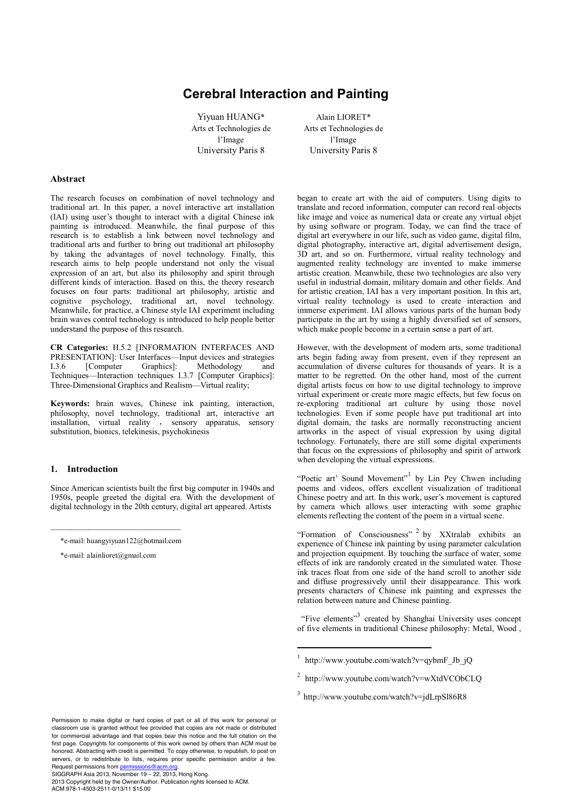# **Cerebral Interaction and Painting**

Yiyuan HUANG\* Arts et Technologies de l'Image University Paris 8 University Paris 8

Alain LIORET\* Arts et Technologies de l'Image

#### **Abstract**

The research focuses on combination of novel technology and traditional art. In this paper, a novel interactive art installation (IAI) using user's thought to interact with a digital Chinese ink painting is introduced. Meanwhile, the final purpose of this research is to establish a link between novel technology and traditional arts and further to bring out traditional art philosophy by taking the advantages of novel technology. Finally, this research aims to help people understand not only the visual expression of an art, but also its philosophy and spirit through different kinds of interaction. Based on this, the theory research focuses on four parts: traditional art philosophy, artistic and cognitive psychology, traditional art, novel technology. Meanwhile, for practice, a Chinese style IAI experiment including brain waves control technology is introduced to help people better understand the purpose of this research.

**CR Categories:** H.5.2 [INFORMATION INTERFACES AND PRESENTATION]: User Interfaces—Input devices and strategies<br>
1.3.6 [Computer Graphics]: Methodology and I.3.6 [Computer Graphics]: Methodology and Techniques—Interaction techniques I.3.7 [Computer Graphics]: Three-Dimensional Graphics and Realism—Virtual reality;

**Keywords:** brain waves, Chinese ink painting, interaction, philosophy, novel technology, traditional art, interactive art installation, virtual reality , sensory apparatus, sensory substitution, bionics, telekinesis, psychokinesis

#### **1. Introduction**

Since American scientists built the first big computer in 1940s and 1950s, people greeted the digital era. With the development of digital technology in the 20th century, digital art appeared. Artists

began to create art with the aid of computers. Using digits to translate and record information, computer can record real objects like image and voice as numerical data or create any virtual objet by using software or program. Today, we can find the trace of digital art everywhere in our life, such as video game, digital film, digital photography, interactive art, digital advertisement design, 3D art, and so on. Furthermore, virtual reality technology and augmented reality technology are invented to make immerse artistic creation. Meanwhile, these two technologies are also very useful in industrial domain, military domain and other fields. And for artistic creation, IAI has a very important position. In this art, virtual reality technology is used to create interaction and immerse experiment. IAI allows various parts of the human body participate in the art by using a highly diversified set of sensors, which make people become in a certain sense a part of art.

However, with the development of modern arts, some traditional arts begin fading away from present, even if they represent an accumulation of diverse cultures for thousands of years. It is a matter to be regretted. On the other hand, most of the current digital artists focus on how to use digital technology to improve virtual experiment or create more magic effects, but few focus on re-exploring traditional art culture by using those novel technologies. Even if some people have put traditional art into digital domain, the tasks are normally reconstructing ancient artworks in the aspect of visual expression by using digital technology. Fortunately, there are still some digital experiments that focus on the expressions of philosophy and spirit of artwork when developing the virtual expressions.

"Poetic art' Sound Movement"<sup>1</sup> by Lin Pey Chwen including poems and videos, offers excellent visualization of traditional Chinese poetry and art. In this work, user's movement is captured by camera which allows user interacting with some graphic elements reflecting the content of the poem in a virtual scene.

"Formation of Consciousness"<sup>2</sup> by XXtralab exhibits an experience of Chinese ink painting by using parameter calculation and projection equipment. By touching the surface of water, some effects of ink are randomly created in the simulated water. Those ink traces float from one side of the hand scroll to another side and diffuse progressively until their disappearance. This work presents characters of Chinese ink painting and expresses the relation between nature and Chinese painting.

"Five elements"<sup>3</sup> created by Shanghai University uses concept of five elements in traditional Chinese philosophy: Metal, Wood ,

 $\overline{a}$ 

SIGGRAPH Asia 2013, November 19 – 22, 2013, Hong Kong. 2013 Copyright held by the Owner/Author. Publication rights licensed to ACM. ACM 978-1-4503-2511-0/13/11 \$15.00

\_\_\_\_\_\_\_\_\_\_\_\_\_\_\_\_\_\_\_\_\_\_\_\_\_\_\_\_\_\_\_ \*e-mail: huangyiyuan122@hotmail.com

<sup>\*</sup>e-mail: alainlioret@gmail.com

<sup>1</sup> http://www.youtube.com/watch?v=qybmF\_Jb\_jQ

 $^{2}$  http://www.youtube.com/watch?v=wXtdVCObCLQ

<sup>3</sup> http://www.youtube.com/watch?v=jdLrpSl86R8

Permission to make digital or hard copies of part or all of this work for personal or classroom use is granted without fee provided that copies are not made or distributed for commercial advantage and that copies bear this notice and the full citation on the first page. Copyrights for components of this work owned by others than ACM must be honored. Abstracting with credit is permitted. To copy otherwise, to republish, to post on servers, or to redistribute to lists, requires prior specific permission and/or a fee. Request permissions from permissions@acm.org.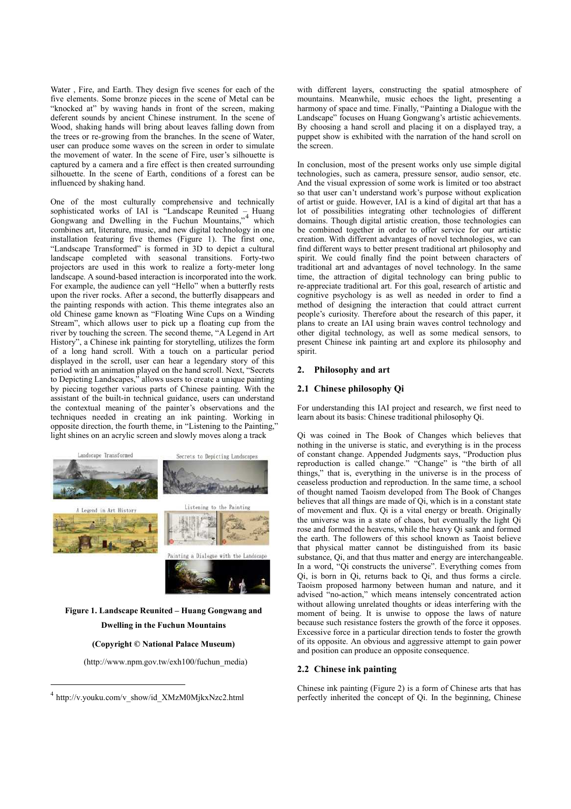Water , Fire, and Earth. They design five scenes for each of the five elements. Some bronze pieces in the scene of Metal can be "knocked at" by waving hands in front of the screen, making deferent sounds by ancient Chinese instrument. In the scene of Wood, shaking hands will bring about leaves falling down from the trees or re-growing from the branches. In the scene of Water, user can produce some waves on the screen in order to simulate the movement of water. In the scene of Fire, user's silhouette is captured by a camera and a fire effect is then created surrounding silhouette. In the scene of Earth, conditions of a forest can be influenced by shaking hand.

One of the most culturally comprehensive and technically sophisticated works of IAI is "Landscape Reunited – Huang Gongwang and Dwelling in the Fuchun Mountains,"<sup>4</sup> which combines art, literature, music, and new digital technology in one installation featuring five themes (Figure 1). The first one, "Landscape Transformed" is formed in 3D to depict a cultural landscape completed with seasonal transitions. Forty-two projectors are used in this work to realize a forty-meter long landscape. A sound-based interaction is incorporated into the work. For example, the audience can yell "Hello" when a butterfly rests upon the river rocks. After a second, the butterfly disappears and the painting responds with action. This theme integrates also an old Chinese game known as "Floating Wine Cups on a Winding Stream", which allows user to pick up a floating cup from the river by touching the screen. The second theme, "A Legend in Art History", a Chinese ink painting for storytelling, utilizes the form of a long hand scroll. With a touch on a particular period displayed in the scroll, user can hear a legendary story of this period with an animation played on the hand scroll. Next, "Secrets to Depicting Landscapes," allows users to create a unique painting by piecing together various parts of Chinese painting. With the assistant of the built-in technical guidance, users can understand the contextual meaning of the painter's observations and the techniques needed in creating an ink painting. Working in opposite direction, the fourth theme, in "Listening to the Painting," light shines on an acrylic screen and slowly moves along a track



**Figure 1. Landscape Reunited – Huang Gongwang and Dwelling in the Fuchun Mountains** 

#### **(Copyright © National Palace Museum)**

(http://www.npm.gov.tw/exh100/fuchun\_media)

 $\overline{a}$ 

with different layers, constructing the spatial atmosphere of mountains. Meanwhile, music echoes the light, presenting a harmony of space and time. Finally, "Painting a Dialogue with the Landscape" focuses on Huang Gongwang's artistic achievements. By choosing a hand scroll and placing it on a displayed tray, a puppet show is exhibited with the narration of the hand scroll on the screen.

In conclusion, most of the present works only use simple digital technologies, such as camera, pressure sensor, audio sensor, etc. And the visual expression of some work is limited or too abstract so that user can't understand work's purpose without explication of artist or guide. However, IAI is a kind of digital art that has a lot of possibilities integrating other technologies of different domains. Though digital artistic creation, those technologies can be combined together in order to offer service for our artistic creation. With different advantages of novel technologies, we can find different ways to better present traditional art philosophy and spirit. We could finally find the point between characters of traditional art and advantages of novel technology. In the same time, the attraction of digital technology can bring public to re-appreciate traditional art. For this goal, research of artistic and cognitive psychology is as well as needed in order to find a method of designing the interaction that could attract current people's curiosity. Therefore about the research of this paper, it plans to create an IAI using brain waves control technology and other digital technology, as well as some medical sensors, to present Chinese ink painting art and explore its philosophy and spirit.

#### **2. Philosophy and art**

#### **2.1 Chinese philosophy Qi**

For understanding this IAI project and research, we first need to learn about its basis: Chinese traditional philosophy Qi.

Qi was coined in The Book of Changes which believes that nothing in the universe is static, and everything is in the process of constant change. Appended Judgments says, "Production plus reproduction is called change." "Change" is "the birth of all things," that is, everything in the universe is in the process of ceaseless production and reproduction. In the same time, a school of thought named Taoism developed from The Book of Changes believes that all things are made of Qi, which is in a constant state of movement and flux. Qi is a vital energy or breath. Originally the universe was in a state of chaos, but eventually the light Qi rose and formed the heavens, while the heavy Qi sank and formed the earth. The followers of this school known as Taoist believe that physical matter cannot be distinguished from its basic substance, Qi, and that thus matter and energy are interchangeable. In a word, "Qi constructs the universe". Everything comes from Qi, is born in Qi, returns back to Qi, and thus forms a circle. Taoism proposed harmony between human and nature, and it advised "no-action," which means intensely concentrated action without allowing unrelated thoughts or ideas interfering with the moment of being. It is unwise to oppose the laws of nature because such resistance fosters the growth of the force it opposes. Excessive force in a particular direction tends to foster the growth of its opposite. An obvious and aggressive attempt to gain power and position can produce an opposite consequence.

#### **2.2 Chinese ink painting**

Chinese ink painting (Figure 2) is a form of Chinese arts that has perfectly inherited the concept of Qi. In the beginning, Chinese

 $4$  http://v.youku.com/v\_show/id\_XMzM0MjkxNzc2.html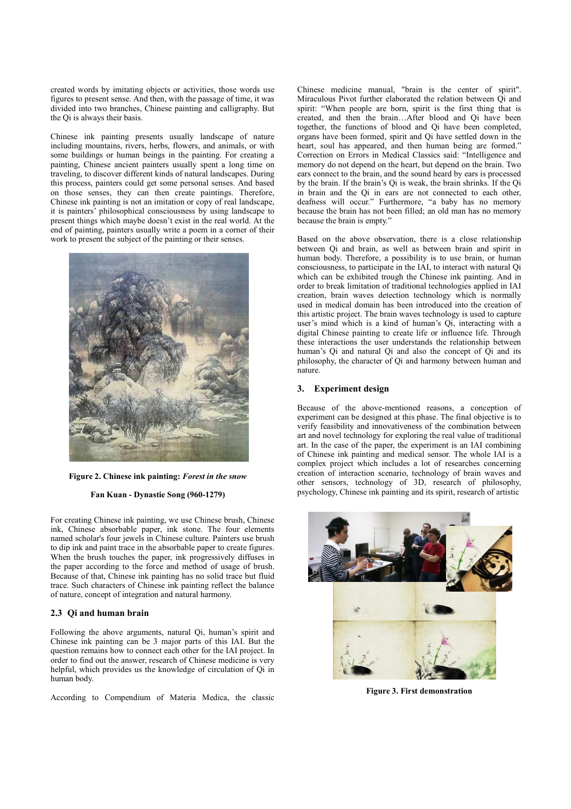created words by imitating objects or activities, those words use figures to present sense. And then, with the passage of time, it was divided into two branches, Chinese painting and calligraphy. But the Qi is always their basis.

Chinese ink painting presents usually landscape of nature including mountains, rivers, herbs, flowers, and animals, or with some buildings or human beings in the painting. For creating a painting, Chinese ancient painters usually spent a long time on traveling, to discover different kinds of natural landscapes. During this process, painters could get some personal senses. And based on those senses, they can then create paintings. Therefore, Chinese ink painting is not an imitation or copy of real landscape, it is painters' philosophical consciousness by using landscape to present things which maybe doesn't exist in the real world. At the end of painting, painters usually write a poem in a corner of their work to present the subject of the painting or their senses.



**Figure 2. Chinese ink painting:** *Forest in the snow*

**Fan Kuan - Dynastie Song (960-1279)** 

For creating Chinese ink painting, we use Chinese brush, Chinese ink, Chinese absorbable paper, ink stone. The four elements named scholar's four jewels in Chinese culture. Painters use brush to dip ink and paint trace in the absorbable paper to create figures. When the brush touches the paper, ink progressively diffuses in the paper according to the force and method of usage of brush. Because of that, Chinese ink painting has no solid trace but fluid trace. Such characters of Chinese ink painting reflect the balance of nature, concept of integration and natural harmony.

# **2.3 Qi and human brain**

Following the above arguments, natural Qi, human's spirit and Chinese ink painting can be 3 major parts of this IAI. But the question remains how to connect each other for the IAI project. In order to find out the answer, research of Chinese medicine is very helpful, which provides us the knowledge of circulation of Qi in human body.

According to Compendium of Materia Medica, the classic

Chinese medicine manual, "brain is the center of spirit". Miraculous Pivot further elaborated the relation between Qi and spirit: "When people are born, spirit is the first thing that is created, and then the brain…After blood and Qi have been together, the functions of blood and Qi have been completed, organs have been formed, spirit and Qi have settled down in the heart, soul has appeared, and then human being are formed.' Correction on Errors in Medical Classics said: "Intelligence and memory do not depend on the heart, but depend on the brain. Two ears connect to the brain, and the sound heard by ears is processed by the brain. If the brain's Qi is weak, the brain shrinks. If the Qi in brain and the Qi in ears are not connected to each other, deafness will occur." Furthermore, "a baby has no memory because the brain has not been filled; an old man has no memory because the brain is empty."

Based on the above observation, there is a close relationship between Qi and brain, as well as between brain and spirit in human body. Therefore, a possibility is to use brain, or human consciousness, to participate in the IAI, to interact with natural Qi which can be exhibited trough the Chinese ink painting. And in order to break limitation of traditional technologies applied in IAI creation, brain waves detection technology which is normally used in medical domain has been introduced into the creation of this artistic project. The brain waves technology is used to capture user's mind which is a kind of human's Qi, interacting with a digital Chinese painting to create life or influence life. Through these interactions the user understands the relationship between human's Qi and natural Qi and also the concept of Qi and its philosophy, the character of Qi and harmony between human and nature.

### **3. Experiment design**

Because of the above-mentioned reasons, a conception of experiment can be designed at this phase. The final objective is to verify feasibility and innovativeness of the combination between art and novel technology for exploring the real value of traditional art. In the case of the paper, the experiment is an IAI combining of Chinese ink painting and medical sensor. The whole IAI is a complex project which includes a lot of researches concerning creation of interaction scenario, technology of brain waves and other sensors, technology of 3D, research of philosophy, psychology, Chinese ink painting and its spirit, research of artistic



**Figure 3. First demonstration**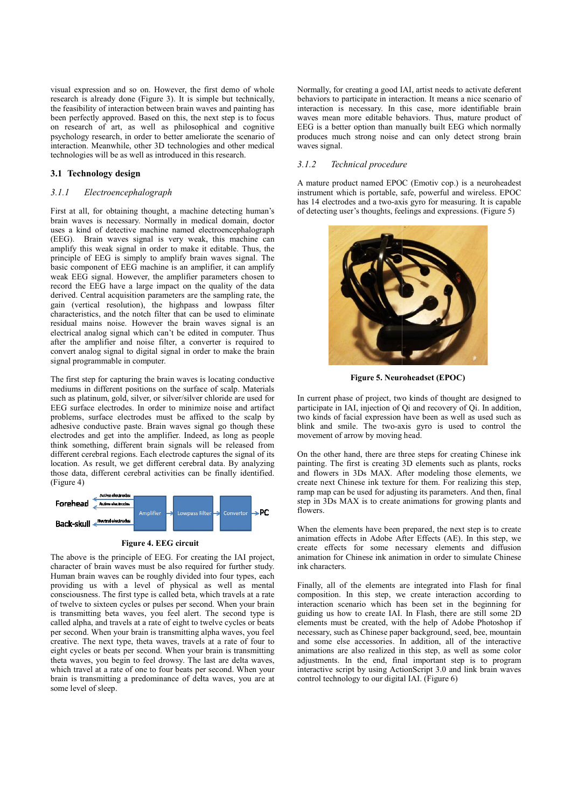visual expression and so on. However, the first demo of whole visual expression and so on. However, the first demo of whole research is already done (Figure 3). It is simple but technically, the feasibility of interaction between brain waves and painting has been perfectly approved. Based on this, the next step is to focus on research of art, as well as philosophical and cognitive psychology research, in order to better ameliorate the scenario of interaction. Meanwhile, other 3D technologies and other medical technologies will be as well as introduced in this research.

# **3.1 Technology design**

#### *3.1.1 Electroencephalograph*

First at all, for obtaining thought, a machine detecting human's brain waves is necessary. Normally in medical domain, doctor uses a kind of detective machine named electroencephalograph (EEG). Brain waves signal is very weak, this machine can (EEG). Brain waves signal is very weak, this machine can amplify this weak signal in order to make it editable. Thus, the principle of EEG is simply to amplify brain wa waves signal. The basic component of EEG machine is an amplifier, it can amplify weak EEG signal. However, the amplifier parameters chosen to record the EEG have a large impact on the quality of the data derived. Central acquisition parameters are the sampling rate, the gain (vertical resolution), the highpass and lowpass filter characteristics, and the notch filter that can be used to eliminate residual mains noise. However the brain waves signal is an electrical analog signal which can't be edited in computer. Thus after the amplifier and noise filter, a converter is required to convert analog signal to digital signal in order to make the brain signal programmable in computer. of EEG machine is an amplifier, it can amplify<br>I. However, the amplifier parameters chosen to<br>have a large impact on the quality of the data<br>icquisition parameters are the sampling rate, the I so on. However, the first density in the same of whole Normally, for creating a good IAI, and the same of the same of the same of the same of the same of the same of the same of the same of the same of the same of the s

The first step for capturing the brain waves is locating conductive mediums in different positions on the surface of scalp. Materials such as platinum, gold, silver, or silver/silver chloride are used for EEG surface electrodes. In order to minimize noise and artifact problems, surface electrodes must be affixed to the scalp by adhesive conductive paste. Brain waves signal go though these electrodes and get into the amplifier. Indeed, as long as people think something, different brain signals will be released different cerebral regions. Each electrode captures the signal of its location. As result, we get different cerebral data. By analyzing those data, different cerebral activities can be finally identified. (Figure 4) is in different positions on the surface of scalp. Materials<br>platinum, gold, silver, or silver/silver chloride are used for<br>urface electrodes. In order to minimize noise and artifact<br>is, surface electrodes must be affixed



#### **Figure 4. EEG circuit**

The above is the principle of EEG. For creating the IAI project, character of brain waves must be also required for further study. Human brain waves can be roughly divided into four types, each providing us with a level of physical as well as mental consciousness. The first type is called beta, which travels at a rate of twelve to sixteen cycles or pulses per second. When your brain is transmitting beta waves, you feel alert. The second type is called alpha, and travels at a rate of eight to twelve cycles or beats per second. When your brain is transmitting alpha waves, you feel creative. The next type, theta waves, travels at a rate of four to eight cycles or beats per second. When your brain is transmitting theta waves, you begin to feel drowsy. The last are delta waves, which travel at a rate of one to four beats per second. When your brain is transmitting a predominance of delta waves, you are at some level of sleep. t type, theta waves, travels at a rate of four to<br>ats per second. When your brain is transmitting<br>begin to feel drowsy. The last are delta waves, behaviors to participate in interaction. It means a nice scenario of interaction is necessary. In this case, more identifiable brain behaviors to participate in interaction. It means a nice scenario of interaction is necessary. In this case, more identifiable brain waves mean more editable behaviors. Thus, mature product of EEG is a better option than manually built EEG which normally produces much strong noise and can only detect strong brain waves signal. Normally, for creating a good IAI, artist needs to activate deferent

### *3.1.2 Technical procedure*

A mature product named EPOC (Emotiv cop.) is a neuroheadest instrument which is portable, safe, powerful and wireless. EPOC has 14 electrodes and a two-axis gyro for measuring. It is capable has 14 electrodes and a two-axis gyro for measuring. It is capable of detecting user's thoughts, feelings and expressions. (Figure 5)



**Figure 5. Neuroheadset (EPOC)**

In current phase of project, two kinds of thought are designed to participate in IAI, injection of Qi and recovery of Qi. In addition, two kinds of facial expression have been as well as used such as blink and smile. The two-axis gyro is used to control the movement of arrow by moving head.

On the other hand, there are three steps for creating Chinese ink painting. The first is creating 3D elements such as plants, rocks and flowers in 3Ds MAX. After modeling those elements, we create next Chinese ink texture for them. For realizing this step, create next Chinese ink texture for them. For realizing this step, ramp map can be used for adjusting its parameters. And then, final step in 3Ds MAX is to create animations for growing plants and flowers. smile. The two-axis gyro is used to control the of arrow by moving head.<br>
er hand, there are three steps for creating Chinese ink<br>
the first is creating 3D elements such as plants, rocks

When the elements have been prepared, the next step is to create animation effects in Adobe After Effects (AE). In this step, we animation effects in Adobe After Effects (AE). In this step, we create effects for some necessary elements and diffusion animation for Chinese ink animation in order to simulate Chinese ink characters.

Finally, all of the elements are integrated into Flash for final composition. In this step, we create interaction according to composition. In this step, we create interaction according to interaction scenario which has been set in the beginning for guiding us how to create IAI. In Flash, there are still some 2D elements must be created, with the help of Adobe Photoshop if necessary, such as Chinese paper background, seed, bee, mountain and some else accessories. In addition, all of the i animations are also realized in this step, as well as some color adjustments. In the end, final important step is to program interactive script by using ActionScript 3.0 and link brain waves control technology to our digital IAI IAI. (Figure 6) In Flash, there are still some 2D<br>be created, with the help of Adobe Photoshop if<br>as Chinese paper background, seed, bee, mountain<br>accessories. In addition, all of the interactive ealized in this step, as well as some color<br>end, final important step is to program<br>sing ActionScript 3.0 and link brain waves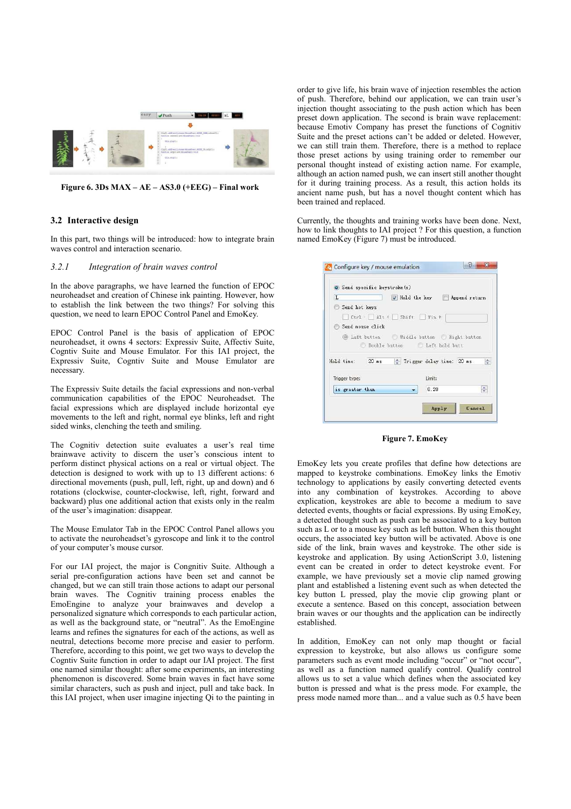

**Figure 6. 3Ds MAX – AE – AS3.0 (+EEG) – Final work** 

#### **3.2 Interactive design**

In this part, two things will be introduced: how to integrate brain waves control and interaction scenario.

#### *3.2.1 Integration of brain waves control*

In the above paragraphs, we have learned the function of EPOC neuroheadset and creation of Chinese ink painting. However, how to establish the link between the two things? For solving this question, we need to learn EPOC Control Panel and EmoKey.

EPOC Control Panel is the basis of application of EPOC neuroheadset, it owns 4 sectors: Expressiv Suite, Affectiv Suite, Cogntiv Suite and Mouse Emulator. For this IAI project, the Expressiv Suite, Cogntiv Suite and Mouse Emulator are necessary.

The Expressiv Suite details the facial expressions and non-verbal communication capabilities of the EPOC Neuroheadset. The facial expressions which are displayed include horizontal eye movements to the left and right, normal eye blinks, left and right sided winks, clenching the teeth and smiling.

The Cognitiv detection suite evaluates a user's real time brainwave activity to discern the user's conscious intent to perform distinct physical actions on a real or virtual object. The detection is designed to work with up to 13 different actions: 6 directional movements (push, pull, left, right, up and down) and 6 rotations (clockwise, counter-clockwise, left, right, forward and backward) plus one additional action that exists only in the realm of the user's imagination: disappear.

The Mouse Emulator Tab in the EPOC Control Panel allows you to activate the neuroheadset's gyroscope and link it to the control of your computer's mouse cursor.

For our IAI project, the major is Congnitiv Suite. Although a serial pre-configuration actions have been set and cannot be changed, but we can still train those actions to adapt our personal brain waves. The Cognitiv training process enables the EmoEngine to analyze your brainwaves and develop a personalized signature which corresponds to each particular action, as well as the background state, or "neutral". As the EmoEngine learns and refines the signatures for each of the actions, as well as neutral, detections become more precise and easier to perform. Therefore, according to this point, we get two ways to develop the Cogntiv Suite function in order to adapt our IAI project. The first one named similar thought: after some experiments, an interesting phenomenon is discovered. Some brain waves in fact have some similar characters, such as push and inject, pull and take back. In this IAI project, when user imagine injecting Qi to the painting in

order to give life, his brain wave of injection resembles the action of push. Therefore, behind our application, we can train user's injection thought associating to the push action which has been preset down application. The second is brain wave replacement: because Emotiv Company has preset the functions of Cognitiv Suite and the preset actions can't be added or deleted. However, we can still train them. Therefore, there is a method to replace those preset actions by using training order to remember our personal thought instead of existing action name. For example, although an action named push, we can insert still another thought for it during training process. As a result, this action holds its ancient name push, but has a novel thought content which has been trained and replaced.

Currently, the thoughts and training works have been done. Next, how to link thoughts to IAI project ? For this question, a function named EmoKey (Figure 7) must be introduced.

| L | Send specific keystroke(s)               | V Hold the key Append return |                           |   |
|---|------------------------------------------|------------------------------|---------------------------|---|
|   | Send hot keys                            |                              |                           |   |
|   | $Ctr1$ Alt i Shift Win +                 |                              |                           |   |
|   | Send mouse click                         |                              |                           |   |
|   | © Left button Middle button Right button |                              |                           |   |
|   |                                          | Bouble button Left hold butt |                           |   |
|   | Hold time:<br>$20$ ms                    |                              | Trigger delay time: 20 ms | 怜 |
|   | Trigger type:                            |                              | Limit:                    |   |
|   |                                          |                              | 0.20                      | ÷ |

**Figure 7. EmoKey** 

EmoKey lets you create profiles that define how detections are mapped to keystroke combinations. EmoKey links the Emotiv technology to applications by easily converting detected events into any combination of keystrokes. According to above explication, keystrokes are able to become a medium to save detected events, thoughts or facial expressions. By using EmoKey, a detected thought such as push can be associated to a key button such as L or to a mouse key such as left button. When this thought occurs, the associated key button will be activated. Above is one side of the link, brain waves and keystroke. The other side is keystroke and application. By using ActionScript 3.0, listening event can be created in order to detect keystroke event. For example, we have previously set a movie clip named growing plant and established a listening event such as when detected the key button L pressed, play the movie clip growing plant or execute a sentence. Based on this concept, association between brain waves or our thoughts and the application can be indirectly established.

In addition, EmoKey can not only map thought or facial expression to keystroke, but also allows us configure some parameters such as event mode including "occur" or "not occur", as well as a function named qualify control. Qualify control allows us to set a value which defines when the associated key button is pressed and what is the press mode. For example, the press mode named more than... and a value such as 0.5 have been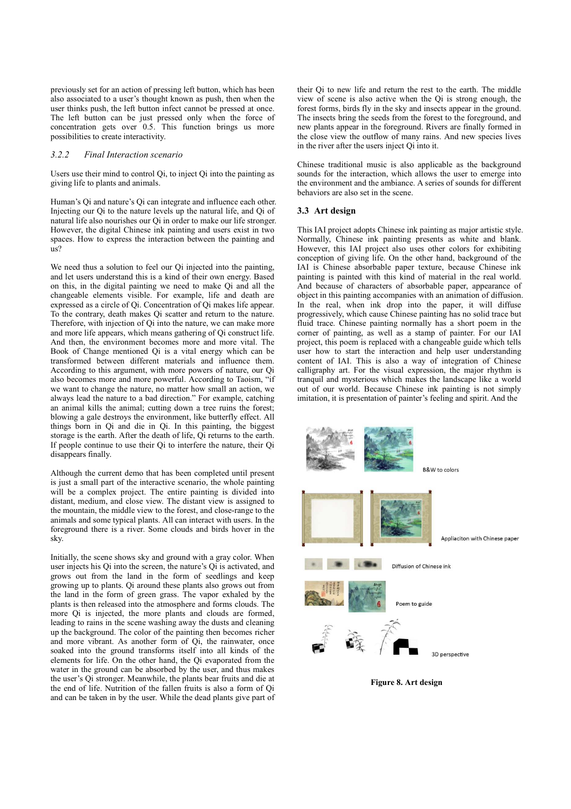previously set for an action of pressing left button, which has been also associated to a user's thought known as push, then when the user thinks push, the left button infect cannot be pressed at once. The left button can be just pressed only when the force of concentration gets over 0.5. This function brings us more possibilities to create interactivity.

### *3.2.2 Final Interaction scenario*

Users use their mind to control Qi, to inject Qi into the painting as giving life to plants and animals.

Human's Qi and nature's Qi can integrate and influence each other. Injecting our Qi to the nature levels up the natural life, and Qi of natural life also nourishes our Qi in order to make our life stronger. However, the digital Chinese ink painting and users exist in two spaces. How to express the interaction between the painting and us?

We need thus a solution to feel our Qi injected into the painting, and let users understand this is a kind of their own energy. Based on this, in the digital painting we need to make Qi and all the changeable elements visible. For example, life and death are expressed as a circle of Qi. Concentration of Qi makes life appear. To the contrary, death makes Qi scatter and return to the nature. Therefore, with injection of Qi into the nature, we can make more and more life appears, which means gathering of Qi construct life. And then, the environment becomes more and more vital. The Book of Change mentioned Qi is a vital energy which can be transformed between different materials and influence them. According to this argument, with more powers of nature, our Qi also becomes more and more powerful. According to Taoism, "if we want to change the nature, no matter how small an action, we always lead the nature to a bad direction." For example, catching an animal kills the animal; cutting down a tree ruins the forest; blowing a gale destroys the environment, like butterfly effect. All things born in Qi and die in Qi. In this painting, the biggest storage is the earth. After the death of life, Qi returns to the earth. If people continue to use their Qi to interfere the nature, their Qi disappears finally.

Although the current demo that has been completed until present is just a small part of the interactive scenario, the whole painting will be a complex project. The entire painting is divided into distant, medium, and close view. The distant view is assigned to the mountain, the middle view to the forest, and close-range to the animals and some typical plants. All can interact with users. In the foreground there is a river. Some clouds and birds hover in the sky.

Initially, the scene shows sky and ground with a gray color. When user injects his Qi into the screen, the nature's Qi is activated, and grows out from the land in the form of seedlings and keep growing up to plants. Qi around these plants also grows out from the land in the form of green grass. The vapor exhaled by the plants is then released into the atmosphere and forms clouds. The more Qi is injected, the more plants and clouds are formed, leading to rains in the scene washing away the dusts and cleaning up the background. The color of the painting then becomes richer and more vibrant. As another form of Qi, the rainwater, once soaked into the ground transforms itself into all kinds of the elements for life. On the other hand, the Qi evaporated from the water in the ground can be absorbed by the user, and thus makes the user's Qi stronger. Meanwhile, the plants bear fruits and die at the end of life. Nutrition of the fallen fruits is also a form of Qi and can be taken in by the user. While the dead plants give part of their Qi to new life and return the rest to the earth. The middle view of scene is also active when the Qi is strong enough, the forest forms, birds fly in the sky and insects appear in the ground. The insects bring the seeds from the forest to the foreground, and new plants appear in the foreground. Rivers are finally formed in the close view the outflow of many rains. And new species lives in the river after the users inject Qi into it.

Chinese traditional music is also applicable as the background sounds for the interaction, which allows the user to emerge into the environment and the ambiance. A series of sounds for different behaviors are also set in the scene.

#### **3.3 Art design**

This IAI project adopts Chinese ink painting as major artistic style. Normally, Chinese ink painting presents as white and blank. However, this IAI project also uses other colors for exhibiting conception of giving life. On the other hand, background of the IAI is Chinese absorbable paper texture, because Chinese ink painting is painted with this kind of material in the real world. And because of characters of absorbable paper, appearance of object in this painting accompanies with an animation of diffusion. In the real, when ink drop into the paper, it will diffuse progressively, which cause Chinese painting has no solid trace but fluid trace. Chinese painting normally has a short poem in the corner of painting, as well as a stamp of painter. For our IAI project, this poem is replaced with a changeable guide which tells user how to start the interaction and help user understanding content of IAI. This is also a way of integration of Chinese calligraphy art. For the visual expression, the major rhythm is tranquil and mysterious which makes the landscape like a world out of our world. Because Chinese ink painting is not simply imitation, it is presentation of painter's feeling and spirit. And the



**Figure 8. Art design**